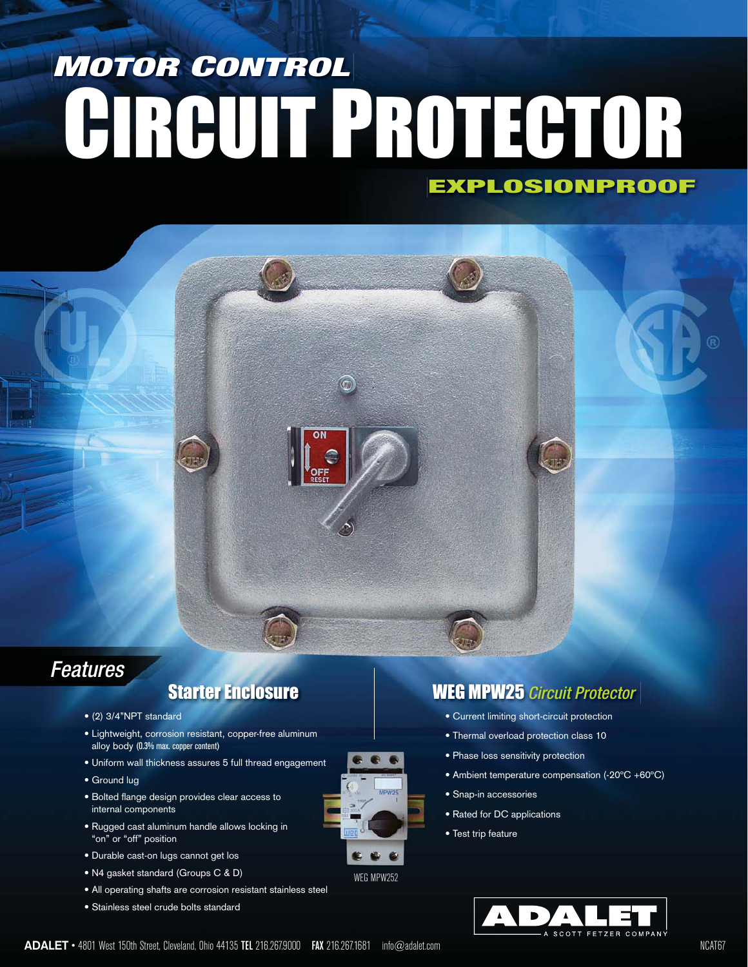# **EXPLOSIONPROOF MOTOR CONTROL** CIRCUIT PROTECTOR

### *Features*

- (2) 3/4"NPT standard
- Lightweight, corrosion resistant, copper-free aluminum alloy body (0.3% max. copper content)
- Uniform wall thickness assures 5 full thread engagement
- Ground lug
- Bolted flange design provides clear access to internal components
- Rugged cast aluminum handle allows locking in "on" or "off" position
- Durable cast-on lugs cannot get los
- N4 gasket standard (Groups C & D)
- All operating shafts are corrosion resistant stainless steel
- Stainless steel crude bolts standard



WEG MPW252

### **Starter Enclosure WEG MPW25** *Circuit Protector*

- Current limiting short-circuit protection
- Thermal overload protection class 10
- Phase loss sensitivity protection
- Ambient temperature compensation (-20ºC +60ºC)
- Snap-in accessories
- Rated for DC applications
- Test trip feature